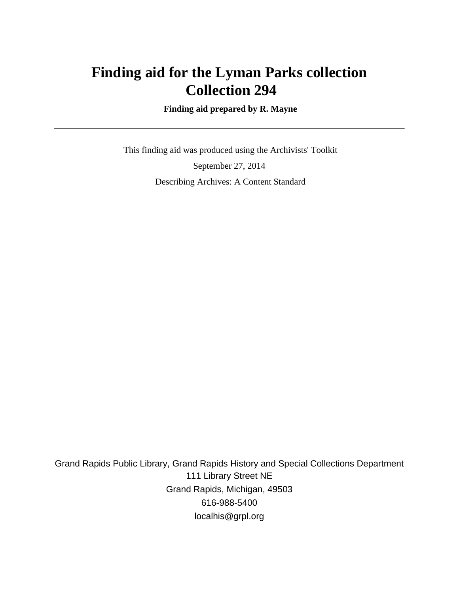## **Finding aid for the Lyman Parks collection Collection 294**

 **Finding aid prepared by R. Mayne**

 This finding aid was produced using the Archivists' Toolkit September 27, 2014 Describing Archives: A Content Standard

Grand Rapids Public Library, Grand Rapids History and Special Collections Department 111 Library Street NE Grand Rapids, Michigan, 49503 616-988-5400 localhis@grpl.org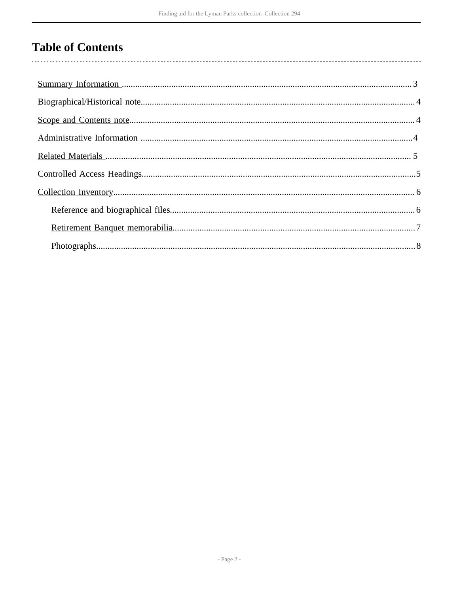## **Table of Contents**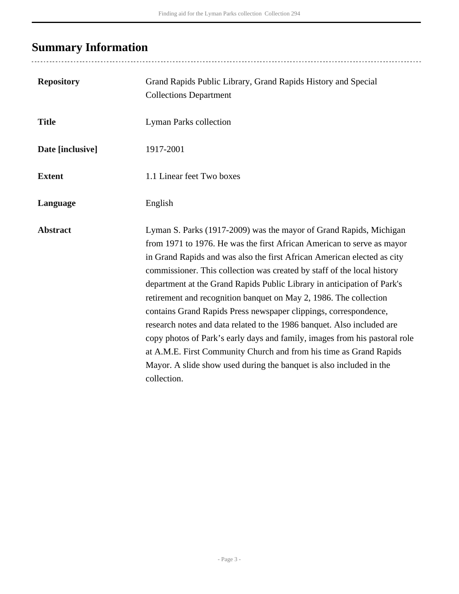# <span id="page-2-0"></span>**Summary Information**

| <b>Repository</b> | Grand Rapids Public Library, Grand Rapids History and Special<br><b>Collections Department</b>                                                                                                                                                                                                                                                                                                                                                                                                                                                                                                                                                                                                                                                                                                                                             |
|-------------------|--------------------------------------------------------------------------------------------------------------------------------------------------------------------------------------------------------------------------------------------------------------------------------------------------------------------------------------------------------------------------------------------------------------------------------------------------------------------------------------------------------------------------------------------------------------------------------------------------------------------------------------------------------------------------------------------------------------------------------------------------------------------------------------------------------------------------------------------|
| <b>Title</b>      | <b>Lyman Parks collection</b>                                                                                                                                                                                                                                                                                                                                                                                                                                                                                                                                                                                                                                                                                                                                                                                                              |
| Date [inclusive]  | 1917-2001                                                                                                                                                                                                                                                                                                                                                                                                                                                                                                                                                                                                                                                                                                                                                                                                                                  |
| <b>Extent</b>     | 1.1 Linear feet Two boxes                                                                                                                                                                                                                                                                                                                                                                                                                                                                                                                                                                                                                                                                                                                                                                                                                  |
| Language          | English                                                                                                                                                                                                                                                                                                                                                                                                                                                                                                                                                                                                                                                                                                                                                                                                                                    |
| <b>Abstract</b>   | Lyman S. Parks (1917-2009) was the mayor of Grand Rapids, Michigan<br>from 1971 to 1976. He was the first African American to serve as mayor<br>in Grand Rapids and was also the first African American elected as city<br>commissioner. This collection was created by staff of the local history<br>department at the Grand Rapids Public Library in anticipation of Park's<br>retirement and recognition banquet on May 2, 1986. The collection<br>contains Grand Rapids Press newspaper clippings, correspondence,<br>research notes and data related to the 1986 banquet. Also included are<br>copy photos of Park's early days and family, images from his pastoral role<br>at A.M.E. First Community Church and from his time as Grand Rapids<br>Mayor. A slide show used during the banquet is also included in the<br>collection. |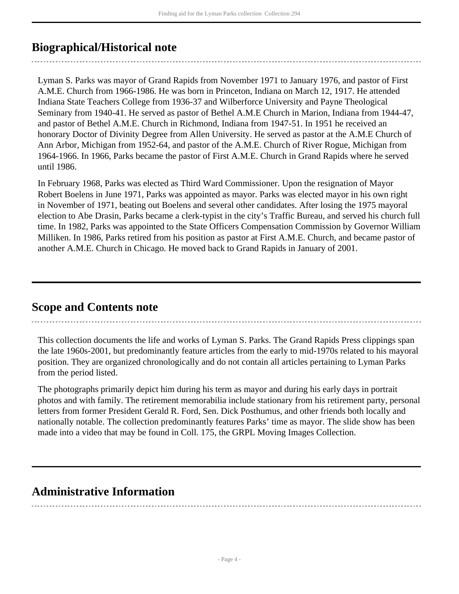### <span id="page-3-0"></span>**Biographical/Historical note**

Lyman S. Parks was mayor of Grand Rapids from November 1971 to January 1976, and pastor of First A.M.E. Church from 1966-1986. He was born in Princeton, Indiana on March 12, 1917. He attended Indiana State Teachers College from 1936-37 and Wilberforce University and Payne Theological Seminary from 1940-41. He served as pastor of Bethel A.M.E Church in Marion, Indiana from 1944-47, and pastor of Bethel A.M.E. Church in Richmond, Indiana from 1947-51. In 1951 he received an honorary Doctor of Divinity Degree from Allen University. He served as pastor at the A.M.E Church of Ann Arbor, Michigan from 1952-64, and pastor of the A.M.E. Church of River Rogue, Michigan from 1964-1966. In 1966, Parks became the pastor of First A.M.E. Church in Grand Rapids where he served until 1986.

In February 1968, Parks was elected as Third Ward Commissioner. Upon the resignation of Mayor Robert Boelens in June 1971, Parks was appointed as mayor. Parks was elected mayor in his own right in November of 1971, beating out Boelens and several other candidates. After losing the 1975 mayoral election to Abe Drasin, Parks became a clerk-typist in the city's Traffic Bureau, and served his church full time. In 1982, Parks was appointed to the State Officers Compensation Commission by Governor William Milliken. In 1986, Parks retired from his position as pastor at First A.M.E. Church, and became pastor of another A.M.E. Church in Chicago. He moved back to Grand Rapids in January of 2001.

### <span id="page-3-1"></span>**Scope and Contents note**

This collection documents the life and works of Lyman S. Parks. The Grand Rapids Press clippings span the late 1960s-2001, but predominantly feature articles from the early to mid-1970s related to his mayoral position. They are organized chronologically and do not contain all articles pertaining to Lyman Parks from the period listed.

The photographs primarily depict him during his term as mayor and during his early days in portrait photos and with family. The retirement memorabilia include stationary from his retirement party, personal letters from former President Gerald R. Ford, Sen. Dick Posthumus, and other friends both locally and nationally notable. The collection predominantly features Parks' time as mayor. The slide show has been made into a video that may be found in Coll. 175, the GRPL Moving Images Collection.

### <span id="page-3-2"></span>**Administrative Information**

- Page 4 -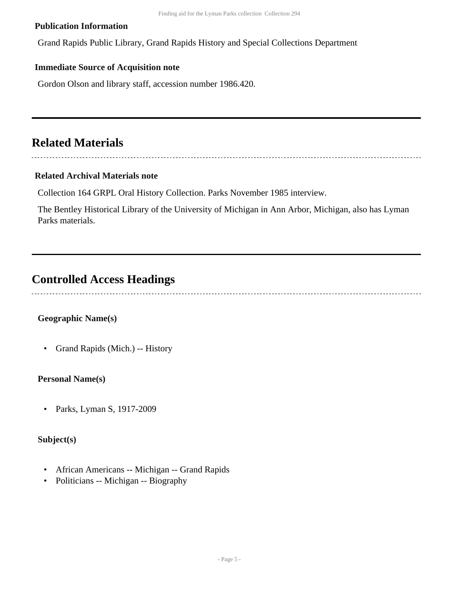#### **Publication Information**

Grand Rapids Public Library, Grand Rapids History and Special Collections Department

#### **Immediate Source of Acquisition note**

Gordon Olson and library staff, accession number 1986.420.

### <span id="page-4-0"></span>**Related Materials**

#### 

#### **Related Archival Materials note**

Collection 164 GRPL Oral History Collection. Parks November 1985 interview.

The Bentley Historical Library of the University of Michigan in Ann Arbor, Michigan, also has Lyman Parks materials.

## <span id="page-4-1"></span>**Controlled Access Headings**

### **Geographic Name(s)**

• Grand Rapids (Mich.) -- History

#### **Personal Name(s)**

• Parks, Lyman S, 1917-2009

### **Subject(s)**

- African Americans -- Michigan -- Grand Rapids
- Politicians -- Michigan -- Biography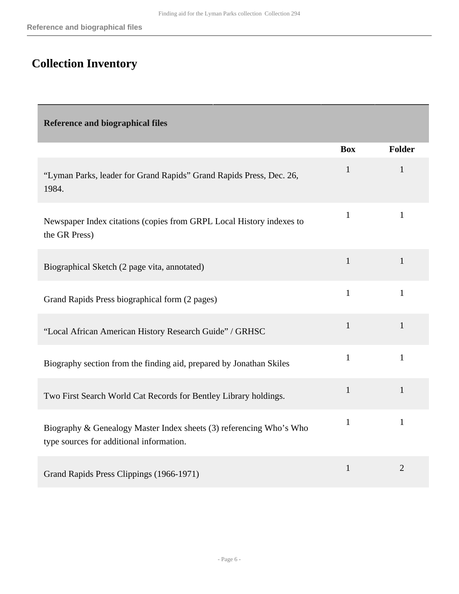## <span id="page-5-0"></span>**Collection Inventory**

<span id="page-5-1"></span>

| <b>Reference and biographical files</b>                                                                         |              |                |
|-----------------------------------------------------------------------------------------------------------------|--------------|----------------|
|                                                                                                                 | <b>Box</b>   | <b>Folder</b>  |
| "Lyman Parks, leader for Grand Rapids" Grand Rapids Press, Dec. 26,<br>1984.                                    | $\mathbf{1}$ | 1              |
| Newspaper Index citations (copies from GRPL Local History indexes to<br>the GR Press)                           | $\mathbf{1}$ | $\mathbf{1}$   |
| Biographical Sketch (2 page vita, annotated)                                                                    | $\mathbf{1}$ | $\mathbf{1}$   |
| Grand Rapids Press biographical form (2 pages)                                                                  | $\mathbf{1}$ | $\mathbf{1}$   |
| "Local African American History Research Guide" / GRHSC                                                         | $\mathbf{1}$ | $\mathbf{1}$   |
| Biography section from the finding aid, prepared by Jonathan Skiles                                             | $\mathbf{1}$ | $\mathbf{1}$   |
| Two First Search World Cat Records for Bentley Library holdings.                                                | $\mathbf{1}$ | $\mathbf{1}$   |
| Biography & Genealogy Master Index sheets (3) referencing Who's Who<br>type sources for additional information. | $\mathbf{1}$ | $\mathbf{1}$   |
| Grand Rapids Press Clippings (1966-1971)                                                                        | $\mathbf{1}$ | $\overline{2}$ |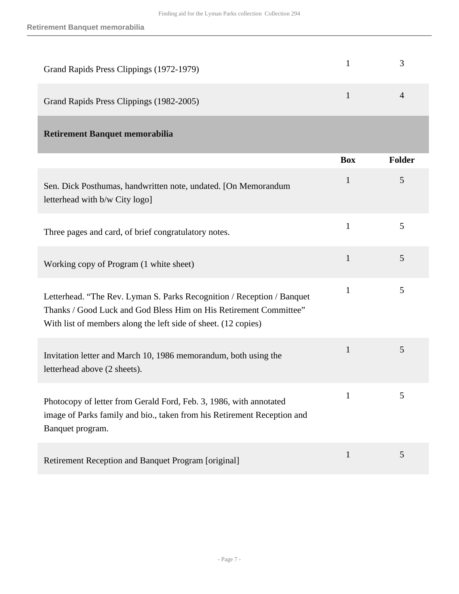<span id="page-6-0"></span>

| Grand Rapids Press Clippings (1972-1979)                                                                                                                                                                      | 1            | 3              |
|---------------------------------------------------------------------------------------------------------------------------------------------------------------------------------------------------------------|--------------|----------------|
| Grand Rapids Press Clippings (1982-2005)                                                                                                                                                                      | $\mathbf{1}$ | $\overline{4}$ |
| <b>Retirement Banquet memorabilia</b>                                                                                                                                                                         |              |                |
|                                                                                                                                                                                                               | <b>Box</b>   | <b>Folder</b>  |
| Sen. Dick Posthumas, handwritten note, undated. [On Memorandum<br>letterhead with b/w City logo]                                                                                                              | $\mathbf{1}$ | 5              |
| Three pages and card, of brief congratulatory notes.                                                                                                                                                          | $\mathbf{1}$ | 5              |
| Working copy of Program (1 white sheet)                                                                                                                                                                       | $\mathbf{1}$ | 5              |
| Letterhead. "The Rev. Lyman S. Parks Recognition / Reception / Banquet<br>Thanks / Good Luck and God Bless Him on His Retirement Committee"<br>With list of members along the left side of sheet. (12 copies) | $\mathbf{1}$ | 5              |
| Invitation letter and March 10, 1986 memorandum, both using the<br>letterhead above (2 sheets).                                                                                                               | $\mathbf{1}$ | 5              |
| Photocopy of letter from Gerald Ford, Feb. 3, 1986, with annotated<br>image of Parks family and bio., taken from his Retirement Reception and<br>Banquet program.                                             |              | C              |
| Retirement Reception and Banquet Program [original]                                                                                                                                                           | $\mathbf{1}$ | 5              |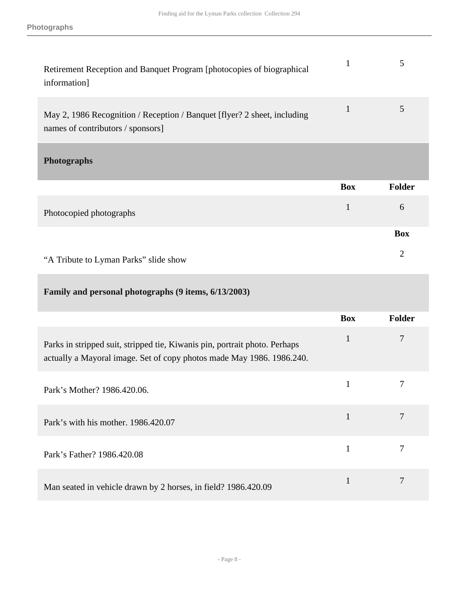<span id="page-7-0"></span>

| Retirement Reception and Banquet Program [photocopies of biographical<br>information]                                                               | $\mathbf{1}$ | 5              |
|-----------------------------------------------------------------------------------------------------------------------------------------------------|--------------|----------------|
| May 2, 1986 Recognition / Reception / Banquet [flyer? 2 sheet, including<br>names of contributors / sponsors]                                       | $\mathbf{1}$ | 5              |
| <b>Photographs</b>                                                                                                                                  |              |                |
|                                                                                                                                                     | <b>Box</b>   | Folder         |
| Photocopied photographs                                                                                                                             | $\mathbf{1}$ | 6              |
|                                                                                                                                                     |              | <b>Box</b>     |
| "A Tribute to Lyman Parks" slide show                                                                                                               |              | $\overline{2}$ |
| Family and personal photographs (9 items, 6/13/2003)                                                                                                |              |                |
|                                                                                                                                                     | <b>Box</b>   | <b>Folder</b>  |
| Parks in stripped suit, stripped tie, Kiwanis pin, portrait photo. Perhaps<br>actually a Mayoral image. Set of copy photos made May 1986. 1986.240. | $\mathbf{1}$ | 7              |
| Park's Mother? 1986.420.06.                                                                                                                         | $\mathbf{1}$ | 7              |
| Park's with his mother. 1986.420.07                                                                                                                 | $\mathbf{1}$ | $\overline{7}$ |
| Park's Father? 1986.420.08                                                                                                                          | $\mathbf{1}$ | 7              |
| Man seated in vehicle drawn by 2 horses, in field? 1986.420.09                                                                                      | 1            | 7              |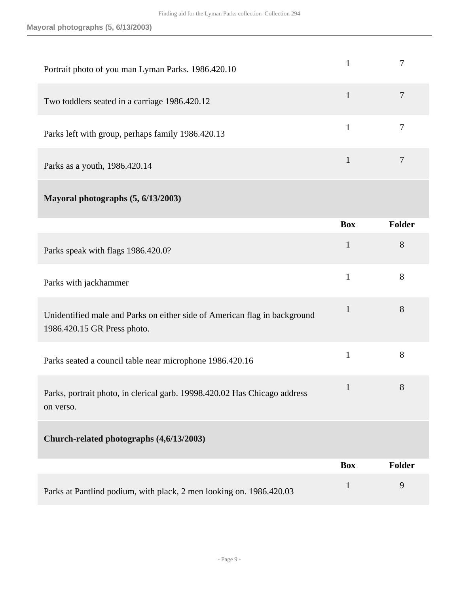| Portrait photo of you man Lyman Parks. 1986.420.10                                                       | $\mathbf{1}$ | 7              |
|----------------------------------------------------------------------------------------------------------|--------------|----------------|
| Two toddlers seated in a carriage 1986.420.12                                                            | $\mathbf{1}$ | $\overline{7}$ |
| Parks left with group, perhaps family 1986.420.13                                                        | $\mathbf{1}$ | $\overline{7}$ |
| Parks as a youth, 1986.420.14                                                                            | $\mathbf{1}$ | $\tau$         |
| Mayoral photographs (5, 6/13/2003)                                                                       |              |                |
|                                                                                                          | <b>Box</b>   | <b>Folder</b>  |
| Parks speak with flags 1986.420.0?                                                                       | $\mathbf{1}$ | 8              |
| Parks with jackhammer                                                                                    | $\mathbf{1}$ | 8              |
| Unidentified male and Parks on either side of American flag in background<br>1986.420.15 GR Press photo. | $\mathbf{1}$ | 8              |
| Parks seated a council table near microphone 1986.420.16                                                 | $\mathbf{1}$ | 8              |
| Parks, portrait photo, in clerical garb. 19998.420.02 Has Chicago address<br>on verso.                   | $\mathbf{I}$ | 8              |
|                                                                                                          |              |                |

|                                                                     | <b>Box</b> | <b>Folder</b> |
|---------------------------------------------------------------------|------------|---------------|
| Parks at Pantlind podium, with plack, 2 men looking on. 1986.420.03 |            |               |